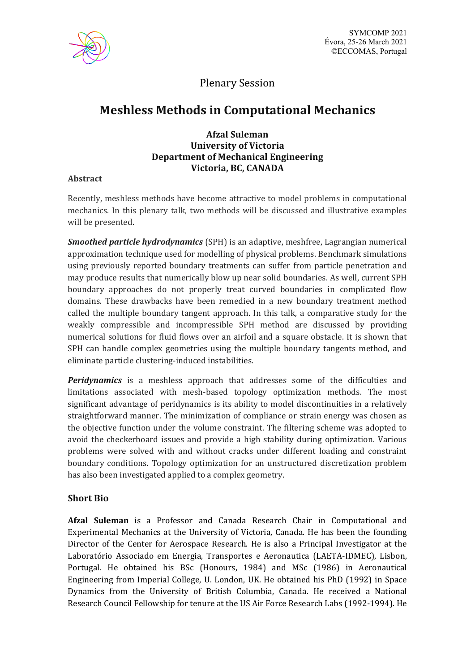

# Plenary Session

# **Meshless Methods in Computational Mechanics**

## **Afzal Suleman University of Victoria Department of Mechanical Engineering Victoria, BC, CANADA**

### **Abstract**

Recently, meshless methods have become attractive to model problems in computational mechanics. In this plenary talk, two methods will be discussed and illustrative examples will be presented.

*Smoothed particle hydrodynamics* (SPH) is an adaptive, meshfree, Lagrangian numerical approximation technique used for modelling of physical problems. Benchmark simulations using previously reported boundary treatments can suffer from particle penetration and may produce results that numerically blow up near solid boundaries. As well, current SPH boundary approaches do not properly treat curved boundaries in complicated flow domains. These drawbacks have been remedied in a new boundary treatment method called the multiple boundary tangent approach. In this talk, a comparative study for the weakly compressible and incompressible SPH method are discussed by providing numerical solutions for fluid flows over an airfoil and a square obstacle. It is shown that SPH can handle complex geometries using the multiple boundary tangents method, and eliminate particle clustering‐induced instabilities.

*Peridynamics* is a meshless approach that addresses some of the difficulties and limitations associated with mesh-based topology optimization methods. The most significant advantage of peridynamics is its ability to model discontinuities in a relatively straightforward manner. The minimization of compliance or strain energy was chosen as the objective function under the volume constraint. The filtering scheme was adopted to avoid the checkerboard issues and provide a high stability during optimization. Various problems were solved with and without cracks under different loading and constraint boundary conditions. Topology optimization for an unstructured discretization problem has also been investigated applied to a complex geometry.

### **Short Bio**

**Afzal Suleman** is a Professor and Canada Research Chair in Computational and Experimental Mechanics at the University of Victoria, Canada. He has been the founding Director of the Center for Aerospace Research. He is also a Principal Investigator at the Laboratório Associado em Energia, Transportes e Aeronautica (LAETA-IDMEC), Lisbon, Portugal. He obtained his BSc (Honours, 1984) and MSc (1986) in Aeronautical Engineering from Imperial College, U. London, UK. He obtained his PhD (1992) in Space Dynamics from the University of British Columbia, Canada. He received a National Research Council Fellowship for tenure at the US Air Force Research Labs (1992-1994). He